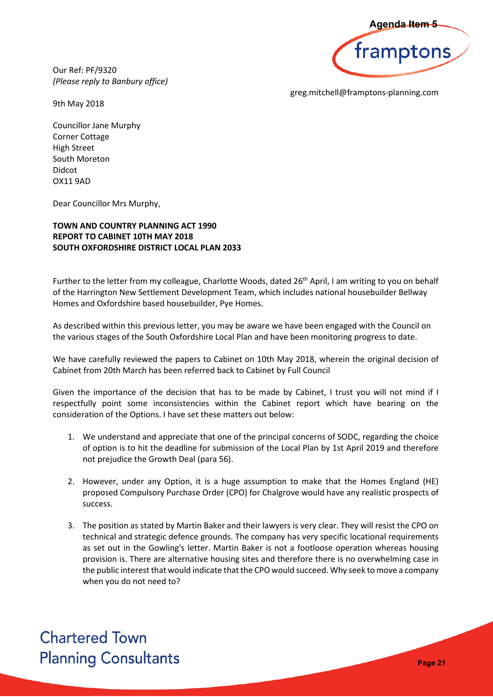Our Ref: PF/9320 *(Please reply to Banbury office)*



greg.mitchell@framptons-planning.com

9th May 2018

Councillor Jane Murphy Corner Cottage High Street South Moreton Didcot OX11 9AD

Dear Councillor Mrs Murphy,

## **TOWN AND COUNTRY PLANNING ACT 1990 REPORT TO CABINET 10TH MAY 2018 SOUTH OXFORDSHIRE DISTRICT LOCAL PLAN 2033**

Further to the letter from my colleague, Charlotte Woods, dated 26<sup>th</sup> April, I am writing to you on behalf of the Harrington New Settlement Development Team, which includes national housebuilder Bellway Homes and Oxfordshire based housebuilder, Pye Homes.

As described within this previous letter, you may be aware we have been engaged with the Council on the various stages of the South Oxfordshire Local Plan and have been monitoring progress to date.

We have carefully reviewed the papers to Cabinet on 10th May 2018, wherein the original decision of Cabinet from 20th March has been referred back to Cabinet by Full Council

Given the importance of the decision that has to be made by Cabinet, I trust you will not mind if I respectfully point some inconsistencies within the Cabinet report which have bearing on the consideration of the Options. I have set these matters out below:

- 1. We understand and appreciate that one of the principal concerns of SODC, regarding the choice of option is to hit the deadline for submission of the Local Plan by 1st April 2019 and therefore not prejudice the Growth Deal (para 56).
- 2. However, under any Option, it is a huge assumption to make that the Homes England (HE) proposed Compulsory Purchase Order (CPO) for Chalgrove would have any realistic prospects of success.
- 3. The position as stated by Martin Baker and their lawyers is very clear. They will resist the CPO on technical and strategic defence grounds. The company has very specific locational requirements as set out in the Gowling's letter. Martin Baker is not a footloose operation whereas housing provision is. There are alternative housing sites and therefore there is no overwhelming case in the public interest that would indicate that the CPO would succeed. Why seek to move a company when you do not need to? **Pagenda Item 5<br>
amptons**<br> **Photons-planning.com**<br> **Page 10 you on behalf**<br>
builder Bellway<br>
th the Council on<br>
press to date.<br>
Digital decision of<br>
<br> **Page 21**<br> **Page 21**<br> **Page 21**<br> **Page 21**

**Chartered Town Planning Consultants**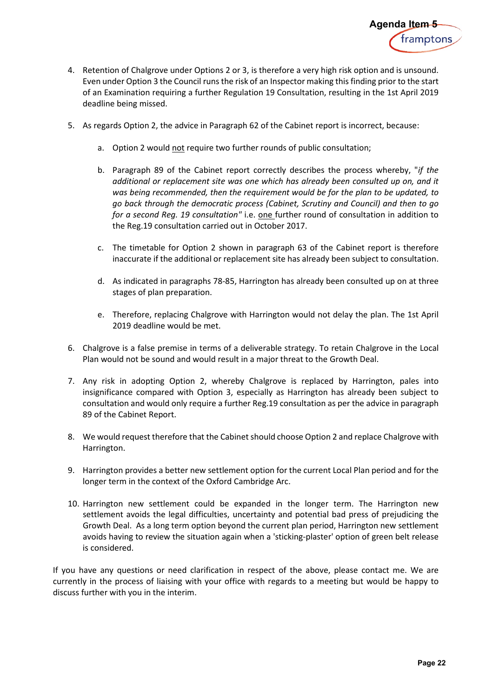

- 4. Retention of Chalgrove under Options 2 or 3, is therefore a very high risk option and is unsound. Even under Option 3 the Council runs the risk of an Inspector making this finding prior to the start of an Examination requiring a further Regulation 19 Consultation, resulting in the 1st April 2019 deadline being missed.
- 5. As regards Option 2, the advice in Paragraph 62 of the Cabinet report is incorrect, because:
	- a. Option 2 would not require two further rounds of public consultation;
- b. Paragraph 89 of the Cabinet report correctly describes the process whereby, "*if the additional or replacement site was one which has already been consulted up on, and it was being recommended, then the requirement would be for the plan to be updated, to go back through the democratic process (Cabinet, Scrutiny and Council) and then to go*  for a second Reg. 19 consultation" i.e. **one** further round of consultation in addition to the Reg.19 consultation carried out in October 2017. **Agenda Item 5**<br> **Example 11 Transform**<br> **Parameters**<br> **Parameters**<br> **Parameters**<br> **Parameters**<br> **Parameters**<br> **Parameters**<br> **Parameters**<br> **Parameters**<br> **Parameters**<br> **Parameters**<br> **Parameters**<br> **Parameters**<br> **Parameters**<br>
	- c. The timetable for Option 2 shown in paragraph 63 of the Cabinet report is therefore inaccurate if the additional or replacement site has already been subject to consultation.
	- d. As indicated in paragraphs 78-85, Harrington has already been consulted up on at three stages of plan preparation.
	- e. Therefore, replacing Chalgrove with Harrington would not delay the plan. The 1st April 2019 deadline would be met.
- 6. Chalgrove is a false premise in terms of a deliverable strategy. To retain Chalgrove in the Local Plan would not be sound and would result in a major threat to the Growth Deal.
- 7. Any risk in adopting Option 2, whereby Chalgrove is replaced by Harrington, pales into insignificance compared with Option 3, especially as Harrington has already been subject to consultation and would only require a further Reg.19 consultation as per the advice in paragraph 89 of the Cabinet Report.
- 8. We would request therefore that the Cabinet should choose Option 2 and replace Chalgrove with Harrington.
- 9. Harrington provides a better new settlement option for the current Local Plan period and for the longer term in the context of the Oxford Cambridge Arc.
- 10. Harrington new settlement could be expanded in the longer term. The Harrington new settlement avoids the legal difficulties, uncertainty and potential bad press of prejudicing the Growth Deal. As a long term option beyond the current plan period, Harrington new settlement avoids having to review the situation again when a 'sticking-plaster' option of green belt release is considered.

If you have any questions or need clarification in respect of the above, please contact me. We are currently in the process of liaising with your office with regards to a meeting but would be happy to discuss further with you in the interim.